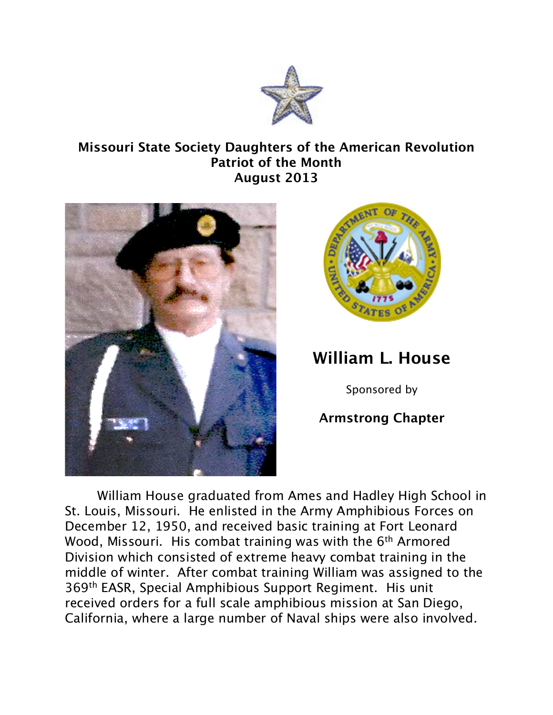

## **Missouri State Society Daughters of the American Revolution Patriot of the Month August 2013**





## **William L. House**

Sponsored by

## **Armstrong Chapter**

William House graduated from Ames and Hadley High School in St. Louis, Missouri. He enlisted in the Army Amphibious Forces on December 12, 1950, and received basic training at Fort Leonard Wood, Missouri. His combat training was with the 6<sup>th</sup> Armored Division which consisted of extreme heavy combat training in the middle of winter. After combat training William was assigned to the 369th EASR, Special Amphibious Support Regiment. His unit received orders for a full scale amphibious mission at San Diego, California, where a large number of Naval ships were also involved.